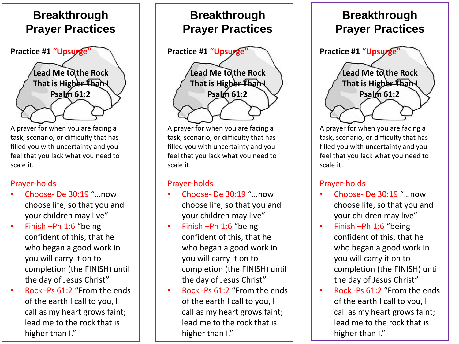

A prayer for when you are facing a task, scenario, or difficulty that has filled you with uncertainty and you feel that you lack what you need to scale it.

#### Prayer-holds

- Choose- De 30:19 "…now choose life, so that you and your children may live"
- Finish -Ph 1:6 "being confident of this, that he who began a good work in you will carry it on to completion (the FINISH) until the day of Jesus Christ"
- Rock -Ps 61:2 "From the ends of the earth I call to you, I call as my heart grows faint; lead me to the rock that is higher than I."



A prayer for when you are facing a task, scenario, or difficulty that has filled you with uncertainty and you feel that you lack what you need to scale it.

#### Prayer-holds

- Choose- De 30:19 "…now choose life, so that you and your children may live"
- Finish –Ph 1:6 "being confident of this, that he who began a good work in you will carry it on to completion (the FINISH) until the day of Jesus Christ"
- Rock -Ps 61:2 "From the ends of the earth I call to you, I call as my heart grows faint; lead me to the rock that is higher than I."

## **Breakthrough Prayer Practices**



A prayer for when you are facing a task, scenario, or difficulty that has filled you with uncertainty and you feel that you lack what you need to scale it.

#### Prayer-holds

- Choose- De 30:19 "…now choose life, so that you and your children may live"
- Finish –Ph 1:6 "being confident of this, that he who began a good work in you will carry it on to completion (the FINISH) until the day of Jesus Christ"
- Rock -Ps 61:2 "From the ends of the earth I call to you, I call as my heart grows faint; lead me to the rock that is higher than I."